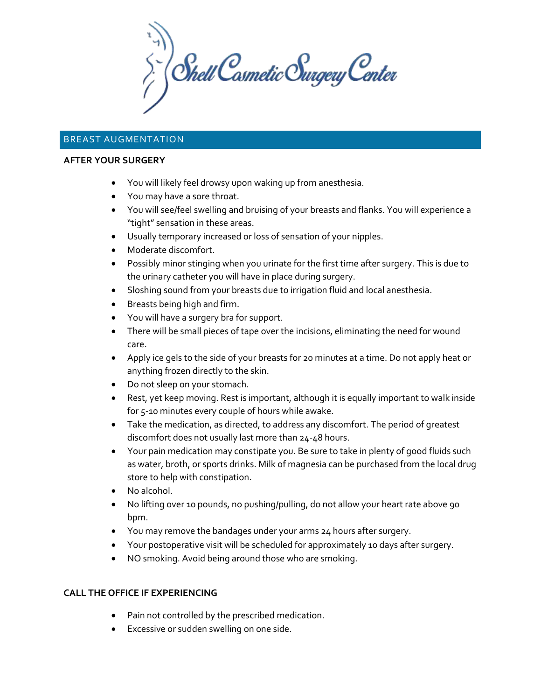$\sum_{i}^{n}$  Shell Cosmetic Surgery Center

# BREAST AUGMENTATION

#### **AFTER YOUR SURGERY**

- You will likely feel drowsy upon waking up from anesthesia.
- You may have a sore throat.
- You will see/feel swelling and bruising of your breasts and flanks. You will experience a "tight" sensation in these areas.
- Usually temporary increased or loss of sensation of your nipples.
- Moderate discomfort.
- Possibly minor stinging when you urinate for the first time after surgery. This is due to the urinary catheter you will have in place during surgery.
- Sloshing sound from your breasts due to irrigation fluid and local anesthesia.
- Breasts being high and firm.
- You will have a surgery bra for support.
- There will be small pieces of tape over the incisions, eliminating the need for wound care.
- Apply ice gels to the side of your breasts for 20 minutes at a time. Do not apply heat or anything frozen directly to the skin.
- Do not sleep on your stomach.
- Rest, yet keep moving. Rest is important, although it is equally important to walk inside for 5-10 minutes every couple of hours while awake.
- Take the medication, as directed, to address any discomfort. The period of greatest discomfort does not usually last more than 24-48 hours.
- Your pain medication may constipate you. Be sure to take in plenty of good fluids such as water, broth, or sports drinks. Milk of magnesia can be purchased from the local drug store to help with constipation.
- No alcohol.
- No lifting over 10 pounds, no pushing/pulling, do not allow your heart rate above 90 bpm.
- You may remove the bandages under your arms 24 hours after surgery.
- Your postoperative visit will be scheduled for approximately 10 days after surgery.
- NO smoking. Avoid being around those who are smoking.

# **CALL THE OFFICE IF EXPERIENCING**

- Pain not controlled by the prescribed medication.
- Excessive or sudden swelling on one side.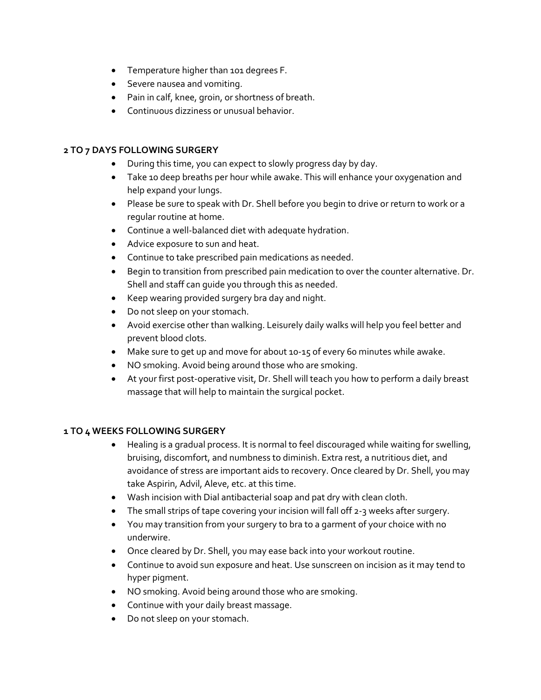- Temperature higher than 101 degrees F.
- Severe nausea and vomiting.
- Pain in calf, knee, groin, or shortness of breath.
- Continuous dizziness or unusual behavior.

# **2 TO 7 DAYS FOLLOWING SURGERY**

- During this time, you can expect to slowly progress day by day.
- Take 10 deep breaths per hour while awake. This will enhance your oxygenation and help expand your lungs.
- Please be sure to speak with Dr. Shell before you begin to drive or return to work or a regular routine at home.
- Continue a well-balanced diet with adequate hydration.
- Advice exposure to sun and heat.
- Continue to take prescribed pain medications as needed.
- Begin to transition from prescribed pain medication to over the counter alternative. Dr. Shell and staff can guide you through this as needed.
- Keep wearing provided surgery bra day and night.
- Do not sleep on your stomach.
- Avoid exercise other than walking. Leisurely daily walks will help you feel better and prevent blood clots.
- Make sure to get up and move for about 10-15 of every 60 minutes while awake.
- NO smoking. Avoid being around those who are smoking.
- At your first post-operative visit, Dr. Shell will teach you how to perform a daily breast massage that will help to maintain the surgical pocket.

# **1 TO 4 WEEKS FOLLOWING SURGERY**

- Healing is a gradual process. It is normal to feel discouraged while waiting for swelling, bruising, discomfort, and numbness to diminish. Extra rest, a nutritious diet, and avoidance of stress are important aids to recovery. Once cleared by Dr. Shell, you may take Aspirin, Advil, Aleve, etc. at this time.
- Wash incision with Dial antibacterial soap and pat dry with clean cloth.
- The small strips of tape covering your incision will fall off 2-3 weeks after surgery.
- You may transition from your surgery to bra to a garment of your choice with no underwire.
- Once cleared by Dr. Shell, you may ease back into your workout routine.
- Continue to avoid sun exposure and heat. Use sunscreen on incision as it may tend to hyper pigment.
- NO smoking. Avoid being around those who are smoking.
- Continue with your daily breast massage.
- Do not sleep on your stomach.